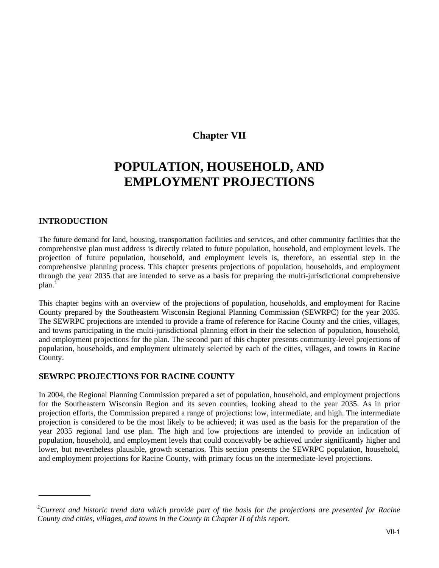# **Chapter VII**

# **POPULATION, HOUSEHOLD, AND EMPLOYMENT PROJECTIONS**

# **INTRODUCTION**

The future demand for land, housing, transportation facilities and services, and other community facilities that the comprehensive plan must address is directly related to future population, household, and employment levels. The projection of future population, household, and employment levels is, therefore, an essential step in the comprehensive planning process. This chapter presents projections of population, households, and employment through the year 2035 that are intended to serve as a basis for preparing the multi-jurisdictional comprehensive plan.<sup>1</sup>

This chapter begins with an overview of the projections of population, households, and employment for Racine County prepared by the Southeastern Wisconsin Regional Planning Commission (SEWRPC) for the year 2035. The SEWRPC projections are intended to provide a frame of reference for Racine County and the cities, villages, and towns participating in the multi-jurisdictional planning effort in their the selection of population, household, and employment projections for the plan. The second part of this chapter presents community-level projections of population, households, and employment ultimately selected by each of the cities, villages, and towns in Racine County.

# **SEWRPC PROJECTIONS FOR RACINE COUNTY**

In 2004, the Regional Planning Commission prepared a set of population, household, and employment projections for the Southeastern Wisconsin Region and its seven counties, looking ahead to the year 2035. As in prior projection efforts, the Commission prepared a range of projections: low, intermediate, and high. The intermediate projection is considered to be the most likely to be achieved; it was used as the basis for the preparation of the year 2035 regional land use plan. The high and low projections are intended to provide an indication of population, household, and employment levels that could conceivably be achieved under significantly higher and lower, but nevertheless plausible, growth scenarios. This section presents the SEWRPC population, household, and employment projections for Racine County, with primary focus on the intermediate-level projections.

<sup>&</sup>lt;sup>1</sup>Current and historic trend data which provide part of the basis for the projections are presented for Racine *County and cities, villages, and towns in the County in Chapter II of this report.*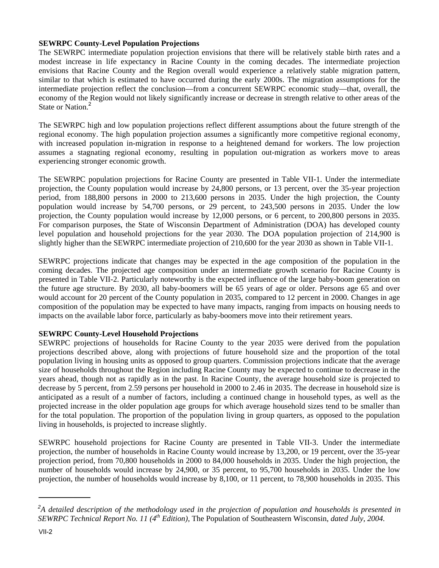## **SEWRPC County-Level Population Projections**

The SEWRPC intermediate population projection envisions that there will be relatively stable birth rates and a modest increase in life expectancy in Racine County in the coming decades. The intermediate projection envisions that Racine County and the Region overall would experience a relatively stable migration pattern, similar to that which is estimated to have occurred during the early 2000s. The migration assumptions for the intermediate projection reflect the conclusion—from a concurrent SEWRPC economic study—that, overall, the economy of the Region would not likely significantly increase or decrease in strength relative to other areas of the State or Nation.<sup>2</sup>

The SEWRPC high and low population projections reflect different assumptions about the future strength of the regional economy. The high population projection assumes a significantly more competitive regional economy, with increased population in-migration in response to a heightened demand for workers. The low projection assumes a stagnating regional economy, resulting in population out-migration as workers move to areas experiencing stronger economic growth.

The SEWRPC population projections for Racine County are presented in Table VII-1. Under the intermediate projection, the County population would increase by 24,800 persons, or 13 percent, over the 35-year projection period, from 188,800 persons in 2000 to 213,600 persons in 2035. Under the high projection, the County population would increase by 54,700 persons, or 29 percent, to 243,500 persons in 2035. Under the low projection, the County population would increase by 12,000 persons, or 6 percent, to 200,800 persons in 2035. For comparison purposes, the State of Wisconsin Department of Administration (DOA) has developed county level population and household projections for the year 2030. The DOA population projection of 214,900 is slightly higher than the SEWRPC intermediate projection of 210,600 for the year 2030 as shown in Table VII-1.

SEWRPC projections indicate that changes may be expected in the age composition of the population in the coming decades. The projected age composition under an intermediate growth scenario for Racine County is presented in Table VII-2. Particularly noteworthy is the expected influence of the large baby-boom generation on the future age structure. By 2030, all baby-boomers will be 65 years of age or older. Persons age 65 and over would account for 20 percent of the County population in 2035, compared to 12 percent in 2000. Changes in age composition of the population may be expected to have many impacts, ranging from impacts on housing needs to impacts on the available labor force, particularly as baby-boomers move into their retirement years.

# **SEWRPC County-Level Household Projections**

SEWRPC projections of households for Racine County to the year 2035 were derived from the population projections described above, along with projections of future household size and the proportion of the total population living in housing units as opposed to group quarters. Commission projections indicate that the average size of households throughout the Region including Racine County may be expected to continue to decrease in the years ahead, though not as rapidly as in the past. In Racine County, the average household size is projected to decrease by 5 percent, from 2.59 persons per household in 2000 to 2.46 in 2035. The decrease in household size is anticipated as a result of a number of factors, including a continued change in household types, as well as the projected increase in the older population age groups for which average household sizes tend to be smaller than for the total population. The proportion of the population living in group quarters, as opposed to the population living in households, is projected to increase slightly.

SEWRPC household projections for Racine County are presented in Table VII-3. Under the intermediate projection, the number of households in Racine County would increase by 13,200, or 19 percent, over the 35-year projection period, from 70,800 households in 2000 to 84,000 households in 2035. Under the high projection, the number of households would increase by 24,900, or 35 percent, to 95,700 households in 2035. Under the low projection, the number of households would increase by 8,100, or 11 percent, to 78,900 households in 2035. This

*<sup>2</sup> A detailed description of the methodology used in the projection of population and households is presented in SEWRPC Technical Report No. 11 (4th Edition),* The Population of Southeastern Wisconsin, *dated July, 2004.*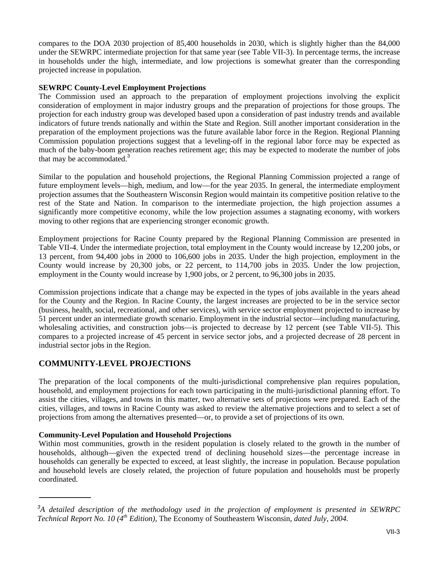compares to the DOA 2030 projection of 85,400 households in 2030, which is slightly higher than the 84,000 under the SEWRPC intermediate projection for that same year (see Table VII-3). In percentage terms, the increase in households under the high, intermediate, and low projections is somewhat greater than the corresponding projected increase in population.

### **SEWRPC County-Level Employment Projections**

The Commission used an approach to the preparation of employment projections involving the explicit consideration of employment in major industry groups and the preparation of projections for those groups. The projection for each industry group was developed based upon a consideration of past industry trends and available indicators of future trends nationally and within the State and Region. Still another important consideration in the preparation of the employment projections was the future available labor force in the Region. Regional Planning Commission population projections suggest that a leveling-off in the regional labor force may be expected as much of the baby-boom generation reaches retirement age; this may be expected to moderate the number of jobs that may be accommodated.<sup>3</sup>

Similar to the population and household projections, the Regional Planning Commission projected a range of future employment levels—high, medium, and low—for the year 2035. In general, the intermediate employment projection assumes that the Southeastern Wisconsin Region would maintain its competitive position relative to the rest of the State and Nation. In comparison to the intermediate projection, the high projection assumes a significantly more competitive economy, while the low projection assumes a stagnating economy, with workers moving to other regions that are experiencing stronger economic growth.

Employment projections for Racine County prepared by the Regional Planning Commission are presented in Table VII-4. Under the intermediate projection, total employment in the County would increase by 12,200 jobs, or 13 percent, from 94,400 jobs in 2000 to 106,600 jobs in 2035. Under the high projection, employment in the County would increase by 20,300 jobs, or 22 percent, to 114,700 jobs in 2035. Under the low projection, employment in the County would increase by 1,900 jobs, or 2 percent, to 96,300 jobs in 2035.

Commission projections indicate that a change may be expected in the types of jobs available in the years ahead for the County and the Region. In Racine County, the largest increases are projected to be in the service sector (business, health, social, recreational, and other services), with service sector employment projected to increase by 51 percent under an intermediate growth scenario. Employment in the industrial sector—including manufacturing, wholesaling activities, and construction jobs—is projected to decrease by 12 percent (see Table VII-5). This compares to a projected increase of 45 percent in service sector jobs, and a projected decrease of 28 percent in industrial sector jobs in the Region.

# **COMMUNITY-LEVEL PROJECTIONS**

The preparation of the local components of the multi-jurisdictional comprehensive plan requires population, household, and employment projections for each town participating in the multi-jurisdictional planning effort. To assist the cities, villages, and towns in this matter, two alternative sets of projections were prepared. Each of the cities, villages, and towns in Racine County was asked to review the alternative projections and to select a set of projections from among the alternatives presented—or, to provide a set of projections of its own.

# **Community-Level Population and Household Projections**

Within most communities, growth in the resident population is closely related to the growth in the number of households, although—given the expected trend of declining household sizes—the percentage increase in households can generally be expected to exceed, at least slightly, the increase in population. Because population and household levels are closely related, the projection of future population and households must be properly coordinated.

*<sup>3</sup> A detailed description of the methodology used in the projection of employment is presented in SEWRPC Technical Report No. 10 (4th Edition),* The Economy of Southeastern Wisconsin, *dated July, 2004.*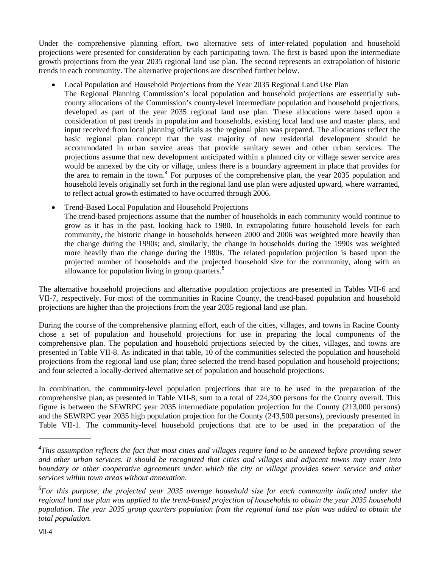Under the comprehensive planning effort, two alternative sets of inter-related population and household projections were presented for consideration by each participating town. The first is based upon the intermediate growth projections from the year 2035 regional land use plan. The second represents an extrapolation of historic trends in each community. The alternative projections are described further below.

# Local Population and Household Projections from the Year 2035 Regional Land Use Plan

The Regional Planning Commission's local population and household projections are essentially subcounty allocations of the Commission's county-level intermediate population and household projections, developed as part of the year 2035 regional land use plan. These allocations were based upon a consideration of past trends in population and households, existing local land use and master plans, and input received from local planning officials as the regional plan was prepared. The allocations reflect the basic regional plan concept that the vast majority of new residential development should be accommodated in urban service areas that provide sanitary sewer and other urban services. The projections assume that new development anticipated within a planned city or village sewer service area would be annexed by the city or village, unless there is a boundary agreement in place that provides for the area to remain in the town.<sup>4</sup> For purposes of the comprehensive plan, the year 2035 population and household levels originally set forth in the regional land use plan were adjusted upward, where warranted, to reflect actual growth estimated to have occurred through 2006.

# Trend-Based Local Population and Household Projections

The trend-based projections assume that the number of households in each community would continue to grow as it has in the past, looking back to 1980. In extrapolating future household levels for each community, the historic change in households between 2000 and 2006 was weighted more heavily than the change during the 1990s; and, similarly, the change in households during the 1990s was weighted more heavily than the change during the 1980s. The related population projection is based upon the projected number of households and the projected household size for the community, along with an allowance for population living in group quarters.<sup>5</sup>

The alternative household projections and alternative population projections are presented in Tables VII-6 and VII-7, respectively. For most of the communities in Racine County, the trend-based population and household projections are higher than the projections from the year 2035 regional land use plan.

During the course of the comprehensive planning effort, each of the cities, villages, and towns in Racine County chose a set of population and household projections for use in preparing the local components of the comprehensive plan. The population and household projections selected by the cities, villages, and towns are presented in Table VII-8. As indicated in that table, 10 of the communities selected the population and household projections from the regional land use plan; three selected the trend-based population and household projections; and four selected a locally-derived alternative set of population and household projections.

In combination, the community-level population projections that are to be used in the preparation of the comprehensive plan, as presented in Table VII-8, sum to a total of 224,300 persons for the County overall. This figure is between the SEWRPC year 2035 intermediate population projection for the County (213,000 persons) and the SEWRPC year 2035 high population projection for the County (243,500 persons), previously presented in Table VII-1. The community-level household projections that are to be used in the preparation of the

<sup>&</sup>lt;sup>4</sup>This assumption reflects the fact that most cities and villages require land to be annexed before providing sewer *and other urban services. It should be recognized that cities and villages and adjacent towns may enter into boundary or other cooperative agreements under which the city or village provides sewer service and other services within town areas without annexation.* 

*<sup>5</sup> For this purpose, the projected year 2035 average household size for each community indicated under the regional land use plan was applied to the trend-based projection of households to obtain the year 2035 household population. The year 2035 group quarters population from the regional land use plan was added to obtain the total population.*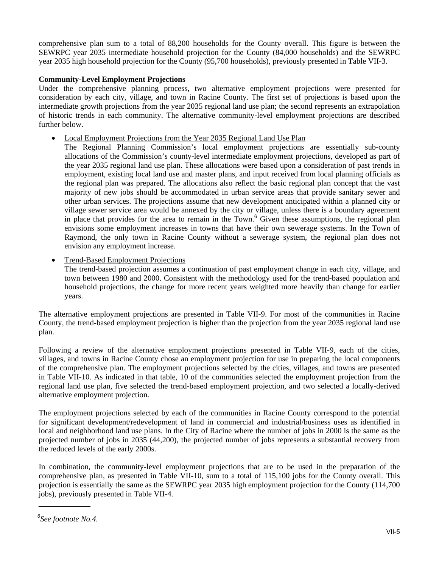comprehensive plan sum to a total of 88,200 households for the County overall. This figure is between the SEWRPC year 2035 intermediate household projection for the County (84,000 households) and the SEWRPC year 2035 high household projection for the County (95,700 households), previously presented in Table VII-3.

## **Community-Level Employment Projections**

Under the comprehensive planning process, two alternative employment projections were presented for consideration by each city, village, and town in Racine County. The first set of projections is based upon the intermediate growth projections from the year 2035 regional land use plan; the second represents an extrapolation of historic trends in each community. The alternative community-level employment projections are described further below.

- Local Employment Projections from the Year 2035 Regional Land Use Plan
	- The Regional Planning Commission's local employment projections are essentially sub-county allocations of the Commission's county-level intermediate employment projections, developed as part of the year 2035 regional land use plan. These allocations were based upon a consideration of past trends in employment, existing local land use and master plans, and input received from local planning officials as the regional plan was prepared. The allocations also reflect the basic regional plan concept that the vast majority of new jobs should be accommodated in urban service areas that provide sanitary sewer and other urban services. The projections assume that new development anticipated within a planned city or village sewer service area would be annexed by the city or village, unless there is a boundary agreement in place that provides for the area to remain in the Town. $<sup>6</sup>$  Given these assumptions, the regional plan</sup> envisions some employment increases in towns that have their own sewerage systems. In the Town of Raymond, the only town in Racine County without a sewerage system, the regional plan does not envision any employment increase.
- Trend-Based Employment Projections

The trend-based projection assumes a continuation of past employment change in each city, village, and town between 1980 and 2000. Consistent with the methodology used for the trend-based population and household projections, the change for more recent years weighted more heavily than change for earlier years.

The alternative employment projections are presented in Table VII-9. For most of the communities in Racine County, the trend-based employment projection is higher than the projection from the year 2035 regional land use plan.

Following a review of the alternative employment projections presented in Table VII-9, each of the cities, villages, and towns in Racine County chose an employment projection for use in preparing the local components of the comprehensive plan. The employment projections selected by the cities, villages, and towns are presented in Table VII-10. As indicated in that table, 10 of the communities selected the employment projection from the regional land use plan, five selected the trend-based employment projection, and two selected a locally-derived alternative employment projection.

The employment projections selected by each of the communities in Racine County correspond to the potential for significant development/redevelopment of land in commercial and industrial/business uses as identified in local and neighborhood land use plans. In the City of Racine where the number of jobs in 2000 is the same as the projected number of jobs in 2035 (44,200), the projected number of jobs represents a substantial recovery from the reduced levels of the early 2000s.

In combination, the community-level employment projections that are to be used in the preparation of the comprehensive plan, as presented in Table VII-10, sum to a total of 115,100 jobs for the County overall. This projection is essentially the same as the SEWRPC year 2035 high employment projection for the County (114,700 jobs), previously presented in Table VII-4.

*<sup>6</sup> See footnote No.4.*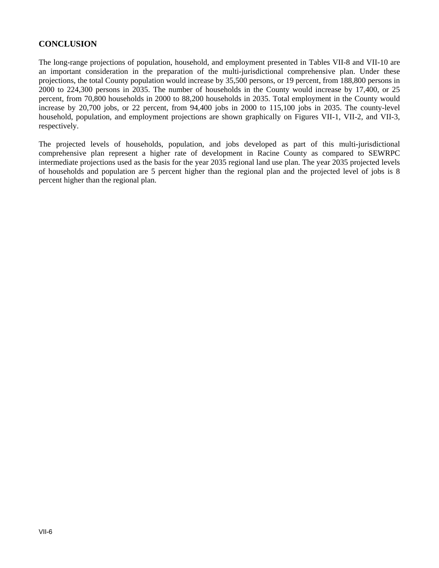# **CONCLUSION**

The long-range projections of population, household, and employment presented in Tables VII-8 and VII-10 are an important consideration in the preparation of the multi-jurisdictional comprehensive plan. Under these projections, the total County population would increase by 35,500 persons, or 19 percent, from 188,800 persons in 2000 to 224,300 persons in 2035. The number of households in the County would increase by 17,400, or 25 percent, from 70,800 households in 2000 to 88,200 households in 2035. Total employment in the County would increase by 20,700 jobs, or 22 percent, from 94,400 jobs in 2000 to 115,100 jobs in 2035. The county-level household, population, and employment projections are shown graphically on Figures VII-1, VII-2, and VII-3, respectively.

The projected levels of households, population, and jobs developed as part of this multi-jurisdictional comprehensive plan represent a higher rate of development in Racine County as compared to SEWRPC intermediate projections used as the basis for the year 2035 regional land use plan. The year 2035 projected levels of households and population are 5 percent higher than the regional plan and the projected level of jobs is 8 percent higher than the regional plan.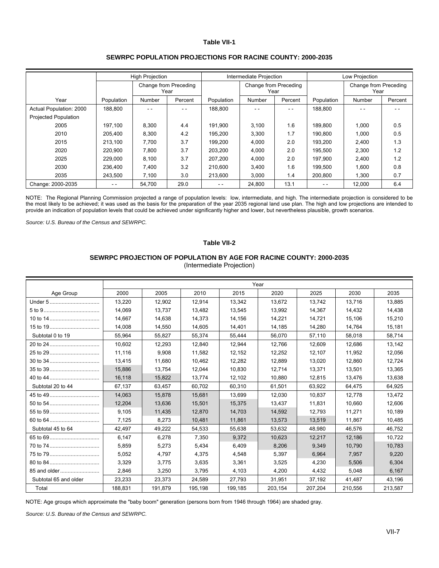|                             |            | <b>High Projection</b> |                               |            | Intermediate Projection       |         | Low Projection |                               |         |
|-----------------------------|------------|------------------------|-------------------------------|------------|-------------------------------|---------|----------------|-------------------------------|---------|
|                             |            |                        | Change from Preceding<br>Year |            | Change from Preceding<br>Year |         |                | Change from Preceding<br>Year |         |
| Year                        | Population | Number                 | Percent                       | Population | Number                        | Percent | Population     | Number                        | Percent |
| Actual Population: 2000     | 188,800    |                        | $ -$                          | 188,800    | - -                           | $ -$    | 188,800        |                               | - -     |
| <b>Projected Population</b> |            |                        |                               |            |                               |         |                |                               |         |
| 2005                        | 197.100    | 8,300                  | 4.4                           | 191.900    | 3,100                         | 1.6     | 189.800        | 1,000                         | 0.5     |
| 2010                        | 205.400    | 8,300                  | 4.2                           | 195.200    | 3,300                         | 1.7     | 190.800        | 1,000                         | 0.5     |
| 2015                        | 213,100    | 7.700                  | 3.7                           | 199.200    | 4,000                         | 2.0     | 193.200        | 2,400                         | 1.3     |
| 2020                        | 220.900    | 7,800                  | 3.7                           | 203,200    | 4,000                         | 2.0     | 195,500        | 2,300                         | 1.2     |
| 2025                        | 229.000    | 8,100                  | 3.7                           | 207.200    | 4,000                         | 2.0     | 197,900        | 2,400                         | 1.2     |
| 2030                        | 236.400    | 7,400                  | 3.2                           | 210.600    | 3,400                         | 1.6     | 199.500        | 1,600                         | 0.8     |
| 2035                        | 243,500    | 7,100                  | 3.0                           | 213,600    | 3,000                         | 1.4     | 200,800        | 1.300                         | 0.7     |
| Change: 2000-2035           | - -        | 54,700                 | 29.0                          | - -        | 24,800                        | 13.1    | - -            | 12,000                        | 6.4     |

#### **SEWRPC POPULATION PROJECTIONS FOR RACINE COUNTY: 2000-2035**

NOTE: The Regional Planning Commission projected a range of population levels: low, intermediate, and high. The intermediate projection is considered to be the most likely to be achieved; it was used as the basis for the preparation of the year 2035 regional land use plan. The high and low projections are intended to provide an indication of population levels that could be achieved under significantly higher and lower, but nevertheless plausible, growth scenarios.

*Source: U.S. Bureau of the Census and SEWRPC.* 

#### **Table VII-2**

# **SEWRPC PROJECTION OF POPULATION BY AGE FOR RACINE COUNTY: 2000-2035**

(Intermediate Projection)

|                       |         |         |         |         | Year    |         |         |         |
|-----------------------|---------|---------|---------|---------|---------|---------|---------|---------|
| Age Group             | 2000    | 2005    | 2010    | 2015    | 2020    | 2025    | 2030    | 2035    |
| Under 5               | 13.220  | 12.902  | 12,914  | 13.342  | 13.672  | 13.742  | 13.716  | 13,885  |
|                       | 14.069  | 13,737  | 13,482  | 13,545  | 13,992  | 14,367  | 14,432  | 14,438  |
|                       | 14,667  | 14,638  | 14,373  | 14,156  | 14,221  | 14,721  | 15,106  | 15,210  |
| 15 to 19              | 14.008  | 14,550  | 14,605  | 14,401  | 14,185  | 14,280  | 14,764  | 15,181  |
| Subtotal 0 to 19      | 55.964  | 55,827  | 55.374  | 55,444  | 56.070  | 57,110  | 58.018  | 58,714  |
|                       | 10.602  | 12,293  | 12,840  | 12,944  | 12.766  | 12,609  | 12,686  | 13,142  |
| 25 to 29              | 11,116  | 9,908   | 11,582  | 12,152  | 12,252  | 12,107  | 11,952  | 12,056  |
|                       | 13.415  | 11.680  | 10,462  | 12,282  | 12.889  | 13,020  | 12.860  | 12,724  |
|                       | 15.886  | 13,754  | 12,044  | 10,830  | 12,714  | 13,371  | 13,501  | 13,365  |
|                       | 16.118  | 15,822  | 13,774  | 12.102  | 10.880  | 12,815  | 13,476  | 13,638  |
| Subtotal 20 to 44     | 67,137  | 63,457  | 60,702  | 60,310  | 61.501  | 63,922  | 64,475  | 64,925  |
|                       | 14,063  | 15,878  | 15,681  | 13,699  | 12,030  | 10,837  | 12,778  | 13,472  |
|                       | 12.204  | 13.636  | 15.501  | 15.375  | 13.437  | 11,831  | 10.660  | 12,606  |
| 55 to 59              | 9.105   | 11,435  | 12,870  | 14.703  | 14,592  | 12,793  | 11.271  | 10,189  |
|                       | 7,125   | 8,273   | 10,481  | 11,861  | 13,573  | 13,519  | 11,867  | 10,485  |
| Subtotal 45 to 64     | 42.497  | 49,222  | 54.533  | 55.638  | 53.632  | 48.980  | 46.576  | 46.752  |
|                       | 6.147   | 6.278   | 7,350   | 9.372   | 10.623  | 12,217  | 12.186  | 10.722  |
|                       | 5,859   | 5,273   | 5,434   | 6,409   | 8,206   | 9,349   | 10,790  | 10,783  |
| 75 to 79              | 5,052   | 4,797   | 4,375   | 4,548   | 5,397   | 6,964   | 7,957   | 9,220   |
|                       | 3,329   | 3.775   | 3,635   | 3,361   | 3,525   | 4,230   | 5,506   | 6,304   |
| 85 and older          | 2,846   | 3,250   | 3,795   | 4,103   | 4,200   | 4,432   | 5,048   | 6,167   |
| Subtotal 65 and older | 23,233  | 23,373  | 24,589  | 27,793  | 31,951  | 37,192  | 41,487  | 43,196  |
| Total                 | 188.831 | 191.879 | 195.198 | 199.185 | 203.154 | 207.204 | 210.556 | 213,587 |

NOTE: Age groups which approximate the "baby boom" generation (persons born from 1946 through 1964) are shaded gray.

*Source: U.S. Bureau of the Census and SEWRPC.*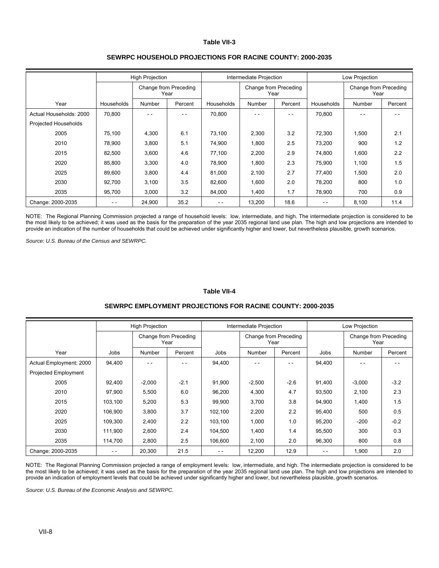|                         |            | <b>High Projection</b> |                               |               | Intermediate Projection       |         |                               | Low Projection |         |  |  |
|-------------------------|------------|------------------------|-------------------------------|---------------|-------------------------------|---------|-------------------------------|----------------|---------|--|--|
|                         |            |                        | Change from Preceding<br>Year |               | Change from Preceding<br>Year |         | Change from Preceding<br>Year |                |         |  |  |
| Year                    | Households | Number                 | Percent                       | Households    | Number                        | Percent | Households                    | <b>Number</b>  | Percent |  |  |
| Actual Households: 2000 | 70,800     | - -                    | - -                           | 70,800        | - -                           | $ -$    | 70,800                        |                | - -     |  |  |
| Projected Households    |            |                        |                               |               |                               |         |                               |                |         |  |  |
| 2005                    | 75,100     | 4,300                  | 6.1                           | 73,100        | 2,300                         | 3.2     | 72,300                        | 1,500          | 2.1     |  |  |
| 2010                    | 78,900     | 3,800                  | 5.1                           | 74,900        | 1,800                         | 2.5     | 73,200                        | 900            | 1.2     |  |  |
| 2015                    | 82,500     | 3,600                  | 4.6                           | 77,100        | 2,200                         | 2.9     | 74,800                        | 1,600          | 2.2     |  |  |
| 2020                    | 85,800     | 3,300                  | 4.0                           | 78,900        | 1,800                         | 2.3     | 75,900                        | 1,100          | 1.5     |  |  |
| 2025                    | 89,600     | 3,800                  | 4.4                           | 81,000        | 2,100                         | 2.7     | 77,400                        | 1,500          | 2.0     |  |  |
| 2030                    | 92,700     | 3,100                  | 3.5                           | 82,600        | 1,600                         | 2.0     | 78,200                        | 800            | 1.0     |  |  |
| 2035                    | 95,700     | 3,000                  | 3.2                           | 84,000        | 1,400                         | 1.7     | 78,900                        | 700            | 0.9     |  |  |
| Change: 2000-2035       | - -        | 24,900                 | 35.2                          | $\sim$ $\sim$ | 13,200                        | 18.6    | - -                           | 8,100          | 11.4    |  |  |

#### **SEWRPC HOUSEHOLD PROJECTIONS FOR RACINE COUNTY: 2000-2035**

NOTE: The Regional Planning Commission projected a range of household levels: low, intermediate, and high. The intermediate projection is considered to be the most likely to be achieved; it was used as the basis for the preparation of the year 2035 regional land use plan. The high and low projections are intended to provide an indication of the number of households that could be achieved under significantly higher and lower, but nevertheless plausible, growth scenarios.

*Source: U.S. Bureau of the Census and SEWRPC.* 

#### **Table VII-4**

#### **SEWRPC EMPLOYMENT PROJECTIONS FOR RACINE COUNTY: 2000-2035**

|                             |               | <b>High Projection</b> |                               |         | Intermediate Projection       |         | Low Projection                |          |         |  |
|-----------------------------|---------------|------------------------|-------------------------------|---------|-------------------------------|---------|-------------------------------|----------|---------|--|
|                             |               |                        | Change from Preceding<br>Year |         | Change from Preceding<br>Year |         | Change from Preceding<br>Year |          |         |  |
| Year                        | Jobs          | Number                 | Percent                       | Jobs    | Number                        | Percent | Jobs                          | Number   | Percent |  |
| Actual Employment: 2000     | 94,400        |                        | - -                           | 94,400  | - -                           |         | 94,400                        |          |         |  |
| <b>Projected Employment</b> |               |                        |                               |         |                               |         |                               |          |         |  |
| 2005                        | 92,400        | $-2,000$               | $-2.1$                        | 91,900  | $-2,500$                      | $-2.6$  | 91,400                        | $-3,000$ | $-3.2$  |  |
| 2010                        | 97.900        | 5,500                  | 6.0                           | 96,200  | 4,300                         | 4.7     | 93,500                        | 2,100    | 2.3     |  |
| 2015                        | 103,100       | 5,200                  | 5.3                           | 99,900  | 3,700                         | 3.8     | 94,900                        | 1,400    | 1.5     |  |
| 2020                        | 106,900       | 3,800                  | 3.7                           | 102,100 | 2,200                         | 2.2     | 95,400                        | 500      | 0.5     |  |
| 2025                        | 109,300       | 2,400                  | 2.2                           | 103,100 | 1,000                         | 1.0     | 95,200                        | $-200$   | $-0.2$  |  |
| 2030                        | 111.900       | 2,600                  | 2.4                           | 104,500 | 1,400                         | 1.4     | 95,500                        | 300      | 0.3     |  |
| 2035                        | 114,700       | 2,800                  | 2.5                           | 106,600 | 2,100                         | 2.0     | 96,300                        | 800      | 0.8     |  |
| Change: 2000-2035           | $\frac{1}{2}$ | 20,300                 | 21.5                          | $ -$    | 12,200                        | 12.9    | - -                           | 1,900    | 2.0     |  |

NOTE: The Regional Planning Commission projected a range of employment levels: low, intermediate, and high. The intermediate projection is considered to be the most likely to be achieved; it was used as the basis for the preparation of the year 2035 regional land use plan. The high and low projections are intended to provide an indication of employment levels that could be achieved under significantly higher and lower, but nevertheless plausible, growth scenarios.

*Source: U.S. Bureau of the Economic Analysis and SEWRPC.*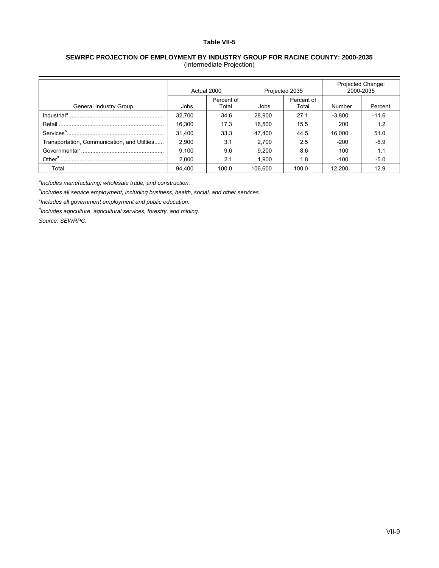#### **SEWRPC PROJECTION OF EMPLOYMENT BY INDUSTRY GROUP FOR RACINE COUNTY: 2000-2035**  (Intermediate Projection)

|                                             | Actual 2000 |                     |                | Projected 2035      | Projected Change:<br>2000-2035 |         |
|---------------------------------------------|-------------|---------------------|----------------|---------------------|--------------------------------|---------|
| General Industry Group                      | Jobs        | Percent of<br>Total |                | Percent of<br>Total | Number                         | Percent |
|                                             | 32.700      | 34.6                | Jobs<br>28.900 | 27.1                | $-3.800$                       | $-11.6$ |
|                                             | 16.300      | 17.3                | 16.500         | 15.5                | 200                            | 1.2     |
|                                             | 31.400      | 33.3                | 47.400         | 44.5                | 16.000                         | 51.0    |
| Transportation, Communication, and Utilties | 2,900       | 3.1                 | 2,700          | 2.5                 | $-200$                         | $-6.9$  |
|                                             | 9.100       | 9.6                 | 9.200          | 8.6                 | 100                            | 1.1     |
|                                             | 2.000       | 2.1                 | 1.900          | 1.8                 | $-100$                         | $-5.0$  |
| Total                                       | 94.400      | 100.0               | 106.600        | 100.0               | 12.200                         | 12.9    |

*a Includes manufacturing, wholesale trade, and construction.* 

*b Includes all service employment, including business, health, social, and other services.* 

*c Includes all government employment and public education.* 

*d Includes agriculture, agricultural services, forestry, and mining.*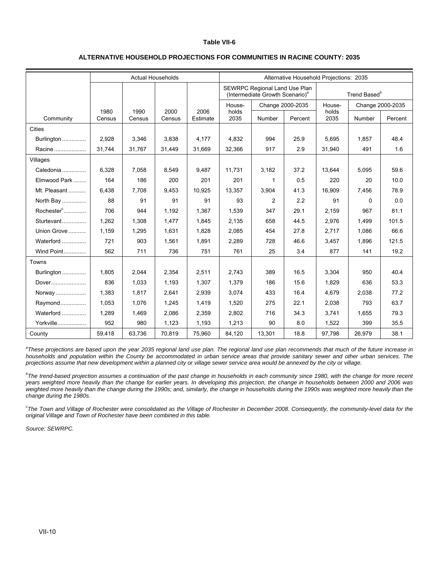|               |                | <b>Actual Households</b> |                |                  |               |                                                                              | Alternative Household Projections: 2035 |               |                          |                  |
|---------------|----------------|--------------------------|----------------|------------------|---------------|------------------------------------------------------------------------------|-----------------------------------------|---------------|--------------------------|------------------|
|               |                |                          |                |                  |               | SEWRPC Regional Land Use Plan<br>(Intermediate Growth Scenario) <sup>a</sup> |                                         |               | Trend Based <sup>b</sup> |                  |
|               |                |                          |                |                  | House-        | Change 2000-2035                                                             |                                         | House-        |                          | Change 2000-2035 |
| Community     | 1980<br>Census | 1990<br>Census           | 2000<br>Census | 2006<br>Estimate | holds<br>2035 | Number                                                                       | Percent                                 | holds<br>2035 | Number                   | Percent          |
| <b>Cities</b> |                |                          |                |                  |               |                                                                              |                                         |               |                          |                  |
| Burlington    | 2,928          | 3,346                    | 3.838          | 4.177            | 4.832         | 994                                                                          | 25.9                                    | 5.695         | 1.857                    | 48.4             |
| Racine        | 31,744         | 31,767                   | 31,449         | 31.669           | 32,366        | 917                                                                          | 2.9                                     | 31,940        | 491                      | 1.6              |
| Villages      |                |                          |                |                  |               |                                                                              |                                         |               |                          |                  |
| Caledonia     | 6.328          | 7.058                    | 8.549          | 9,487            | 11.731        | 3,182                                                                        | 37.2                                    | 13.644        | 5,095                    | 59.6             |
| Elmwood Park  | 164            | 186                      | 200            | 201              | 201           | 1                                                                            | 0.5                                     | 220           | 20                       | 10.0             |
| Mt. Pleasant  | 6,438          | 7,708                    | 9,453          | 10,925           | 13,357        | 3,904                                                                        | 41.3                                    | 16,909        | 7,456                    | 78.9             |
| North Bay     | 88             | 91                       | 91             | 91               | 93            | $\overline{2}$                                                               | 2.2                                     | 91            | 0                        | 0.0              |
| $Rochesterc$  | 706            | 944                      | 1,192          | 1.367            | 1,539         | 347                                                                          | 29.1                                    | 2,159         | 967                      | 81.1             |
| Sturtevant    | 1.262          | 1,308                    | 1,477          | 1,845            | 2,135         | 658                                                                          | 44.5                                    | 2,976         | 1,499                    | 101.5            |
| Union Grove   | 1,159          | 1,295                    | 1,631          | 1,828            | 2,085         | 454                                                                          | 27.8                                    | 2,717         | 1,086                    | 66.6             |
| Waterford     | 721            | 903                      | 1,561          | 1,891            | 2,289         | 728                                                                          | 46.6                                    | 3,457         | 1,896                    | 121.5            |
| Wind Point    | 562            | 711                      | 736            | 751              | 761           | 25                                                                           | 3.4                                     | 877           | 141                      | 19.2             |
| Towns         |                |                          |                |                  |               |                                                                              |                                         |               |                          |                  |
| Burlington    | 1.805          | 2.044                    | 2.354          | 2.511            | 2.743         | 389                                                                          | 16.5                                    | 3.304         | 950                      | 40.4             |
| Dover         | 836            | 1,033                    | 1,193          | 1,307            | 1,379         | 186                                                                          | 15.6                                    | 1,829         | 636                      | 53.3             |
| Norway        | 1.383          | 1.817                    | 2,641          | 2,939            | 3,074         | 433                                                                          | 16.4                                    | 4,679         | 2,038                    | 77.2             |
| Raymond       | 1.053          | 1,076                    | 1,245          | 1,419            | 1,520         | 275                                                                          | 22.1                                    | 2,038         | 793                      | 63.7             |
| Waterford     | 1.289          | 1,469                    | 2,086          | 2,359            | 2,802         | 716                                                                          | 34.3                                    | 3,741         | 1,655                    | 79.3             |
| Yorkville     | 952            | 980                      | 1,123          | 1,193            | 1,213         | 90                                                                           | 8.0                                     | 1,522         | 399                      | 35.5             |
| County        | 59,418         | 63,736                   | 70,819         | 75,960           | 84,120        | 13,301                                                                       | 18.8                                    | 97,798        | 26,979                   | 38.1             |

<sup>a</sup>These projections are based upon the year 2035 regional land use plan. The regional land use plan recommends that much of the future increase in *households and population within the County be accommodated in urban service areas that provide sanitary sewer and other urban services. The projections assume that new development within a planned city or village sewer service area would be annexed by the city or village.* 

*b The trend-based projection assumes a continuation of the past change in households in each community since 1980, with the change for more recent years weighted more heavily than the change for earlier years. In developing this projection, the change in households between 2000 and 2006 was*  weighted more heavily than the change during the 1990s; and, similarly, the change in households during the 1990s was weighted more heavily than the *change during the 1980s.* 

<sup>c</sup> The Town and Village of Rochester were consolidated as the Village of Rochester in December 2008. Consequently, the community-level data for the *original Village and Town of Rochester have been combined in this table.*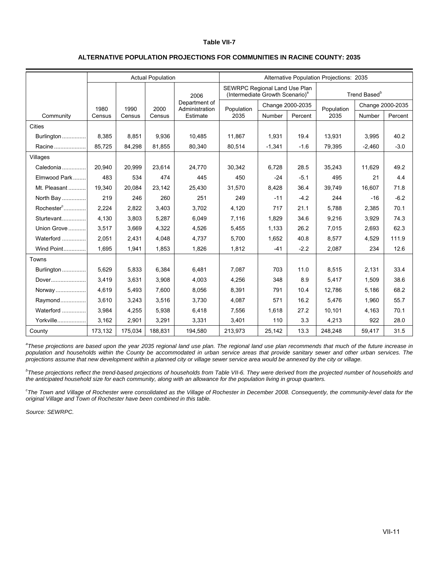| ALTERNATIVE POPULATION PROJECTIONS FOR COMMUNITIES IN RACINE COUNTY: 2035 |  |
|---------------------------------------------------------------------------|--|
|---------------------------------------------------------------------------|--|

|                   |         |         | <b>Actual Population</b> |                                 |                                                                              |                  |         | Alternative Population Projections: 2035 |                          |         |
|-------------------|---------|---------|--------------------------|---------------------------------|------------------------------------------------------------------------------|------------------|---------|------------------------------------------|--------------------------|---------|
|                   |         |         |                          | 2006                            | SEWRPC Regional Land Use Plan<br>(Intermediate Growth Scenario) <sup>a</sup> |                  |         |                                          | Trend Based <sup>b</sup> |         |
|                   | 1980    | 1990    | 2000                     | Department of<br>Administration | Population                                                                   | Change 2000-2035 |         | Population                               | Change 2000-2035         |         |
| Community         | Census  | Census  | Census                   | Estimate                        | 2035                                                                         | Number           | Percent | 2035                                     | Number                   | Percent |
| <b>Cities</b>     |         |         |                          |                                 |                                                                              |                  |         |                                          |                          |         |
| Burlington        | 8.385   | 8,851   | 9,936                    | 10,485                          | 11.867                                                                       | 1,931            | 19.4    | 13,931                                   | 3,995                    | 40.2    |
| Racine            | 85,725  | 84,298  | 81,855                   | 80,340                          | 80,514                                                                       | $-1,341$         | $-1.6$  | 79,395                                   | $-2,460$                 | $-3.0$  |
| Villages          |         |         |                          |                                 |                                                                              |                  |         |                                          |                          |         |
| Caledonia         | 20,940  | 20,999  | 23,614                   | 24,770                          | 30,342                                                                       | 6,728            | 28.5    | 35,243                                   | 11,629                   | 49.2    |
| Elmwood Park      | 483     | 534     | 474                      | 445                             | 450                                                                          | $-24$            | $-5.1$  | 495                                      | 21                       | 4.4     |
| Mt. Pleasant      | 19,340  | 20,084  | 23,142                   | 25,430                          | 31,570                                                                       | 8,428            | 36.4    | 39,749                                   | 16,607                   | 71.8    |
| North Bay         | 219     | 246     | 260                      | 251                             | 249                                                                          | $-11$            | $-4.2$  | 244                                      | $-16$                    | $-6.2$  |
| $Rochesterc$      | 2,224   | 2,822   | 3,403                    | 3,702                           | 4,120                                                                        | 717              | 21.1    | 5,788                                    | 2,385                    | 70.1    |
| Sturtevant        | 4.130   | 3,803   | 5,287                    | 6,049                           | 7,116                                                                        | 1,829            | 34.6    | 9,216                                    | 3,929                    | 74.3    |
| Union Grove       | 3,517   | 3,669   | 4,322                    | 4,526                           | 5,455                                                                        | 1,133            | 26.2    | 7,015                                    | 2,693                    | 62.3    |
| Waterford         | 2.051   | 2,431   | 4.048                    | 4,737                           | 5.700                                                                        | 1.652            | 40.8    | 8,577                                    | 4,529                    | 111.9   |
| <b>Wind Point</b> | 1,695   | 1,941   | 1,853                    | 1,826                           | 1,812                                                                        | $-41$            | $-2.2$  | 2,087                                    | 234                      | 12.6    |
| Towns             |         |         |                          |                                 |                                                                              |                  |         |                                          |                          |         |
| Burlington        | 5,629   | 5,833   | 6,384                    | 6,481                           | 7,087                                                                        | 703              | 11.0    | 8,515                                    | 2,131                    | 33.4    |
| Dover             | 3,419   | 3,631   | 3,908                    | 4,003                           | 4,256                                                                        | 348              | 8.9     | 5,417                                    | 1,509                    | 38.6    |
| Norway            | 4,619   | 5,493   | 7,600                    | 8,056                           | 8,391                                                                        | 791              | 10.4    | 12,786                                   | 5,186                    | 68.2    |
| Raymond           | 3,610   | 3,243   | 3,516                    | 3,730                           | 4,087                                                                        | 571              | 16.2    | 5,476                                    | 1,960                    | 55.7    |
| Waterford         | 3.984   | 4,255   | 5,938                    | 6,418                           | 7,556                                                                        | 1.618            | 27.2    | 10,101                                   | 4,163                    | 70.1    |
| Yorkville         | 3,162   | 2,901   | 3,291                    | 3,331                           | 3,401                                                                        | 110              | 3.3     | 4,213                                    | 922                      | 28.0    |
| County            | 173,132 | 175,034 | 188,831                  | 194,580                         | 213,973                                                                      | 25,142           | 13.3    | 248,248                                  | 59,417                   | 31.5    |

<sup>a</sup>These projections are based upon the year 2035 regional land use plan. The regional land use plan recommends that much of the future increase in *population and households within the County be accommodated in urban service areas that provide sanitary sewer and other urban services. The projections assume that new development within a planned city or village sewer service area would be annexed by the city or village.* 

*b These projections reflect the trend-based projections of households from Table VII-6. They were derived from the projected number of households and the anticipated household size for each community, along with an allowance for the population living in group quarters.* 

<sup>c</sup> The Town and Village of Rochester were consolidated as the Village of Rochester in December 2008. Consequently, the community-level data for the *original Village and Town of Rochester have been combined in this table.*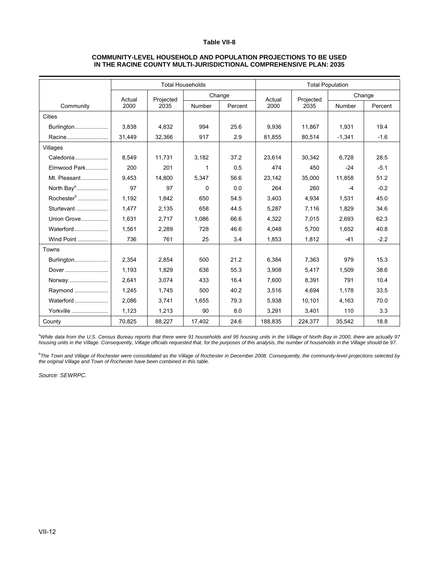#### **COMMUNITY-LEVEL HOUSEHOLD AND POPULATION PROJECTIONS TO BE USED IN THE RACINE COUNTY MULTI-JURISDICTIONAL COMPREHENSIVE PLAN: 2035**

|                        |        |           | <b>Total Households</b> |         |         |           | <b>Total Population</b> |         |
|------------------------|--------|-----------|-------------------------|---------|---------|-----------|-------------------------|---------|
|                        | Actual | Projected |                         | Change  | Actual  | Projected | Change                  |         |
| Community              | 2000   | 2035      | Number                  | Percent | 2000    | 2035      | Number                  | Percent |
| Cities                 |        |           |                         |         |         |           |                         |         |
| Burlington             | 3.838  | 4.832     | 994                     | 25.6    | 9.936   | 11.867    | 1,931                   | 19.4    |
| Racine                 | 31,449 | 32,366    | 917                     | 2.9     | 81,855  | 80,514    | $-1,341$                | $-1.6$  |
| Villages               |        |           |                         |         |         |           |                         |         |
| Caledonia              | 8.549  | 11.731    | 3,182                   | 37.2    | 23,614  | 30.342    | 6.728                   | 28.5    |
| Elmwood Park           | 200    | 201       | 1                       | 0.5     | 474     | 450       | $-24$                   | $-5.1$  |
| Mt. Pleasant           | 9.453  | 14.800    | 5,347                   | 56.6    | 23,142  | 35,000    | 11,858                  | 51.2    |
| North Bay <sup>a</sup> | 97     | 97        | $\Omega$                | 0.0     | 264     | 260       | $-4$                    | $-0.2$  |
| Rochester <sup>b</sup> | 1.192  | 1.842     | 650                     | 54.5    | 3.403   | 4.934     | 1,531                   | 45.0    |
| Sturtevant             | 1,477  | 2,135     | 658                     | 44.5    | 5,287   | 7,116     | 1,829                   | 34.6    |
| Union Grove            | 1.631  | 2.717     | 1.086                   | 66.6    | 4.322   | 7.015     | 2.693                   | 62.3    |
| Waterford              | 1,561  | 2,289     | 728                     | 46.6    | 4,048   | 5,700     | 1,652                   | 40.8    |
| Wind Point             | 736    | 761       | 25                      | 3.4     | 1,853   | 1,812     | $-41$                   | $-2.2$  |
| Towns                  |        |           |                         |         |         |           |                         |         |
| Burlington             | 2,354  | 2,854     | 500                     | 21.2    | 6,384   | 7,363     | 979                     | 15.3    |
| Dover                  | 1,193  | 1.829     | 636                     | 55.3    | 3.908   | 5.417     | 1.509                   | 38.6    |
| Norway                 | 2,641  | 3,074     | 433                     | 16.4    | 7,600   | 8,391     | 791                     | 10.4    |
| Raymond                | 1,245  | 1,745     | 500                     | 40.2    | 3.516   | 4.694     | 1,178                   | 33.5    |
| Waterford              | 2,086  | 3,741     | 1,655                   | 79.3    | 5,938   | 10,101    | 4,163                   | 70.0    |
| Yorkville              | 1,123  | 1,213     | 90                      | 8.0     | 3,291   | 3,401     | 110                     | 3.3     |
| County                 | 70,825 | 88,227    | 17,402                  | 24.6    | 188,835 | 224,377   | 35,542                  | 18.8    |

<sup>a</sup>While data from the U.S. Census Bureau reports that there were 91 households and 95 housing units in the Village of North Bay in 2000, there are actually 97 *housing units in the Village. Consequently, Village officials requested that, for the purposes of this analysis, the number of households in the Village should be 97.* 

*b The Town and Village of Rochester were consolidated as the Village of Rochester in December 2008. Consequently, the community-level projections selected by the original Village and Town of Rochester have been combined in this table.*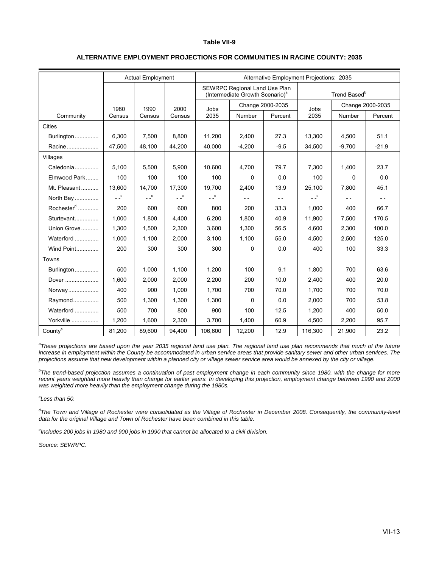|                                |        | <b>Actual Employment</b> |            |                 |                                                                              | <b>Alternative Employment Projections: 2035</b> |                   |                          |                  |
|--------------------------------|--------|--------------------------|------------|-----------------|------------------------------------------------------------------------------|-------------------------------------------------|-------------------|--------------------------|------------------|
|                                |        |                          |            |                 | SEWRPC Regional Land Use Plan<br>(Intermediate Growth Scenario) <sup>a</sup> |                                                 |                   | Trend Based <sup>b</sup> |                  |
|                                | 1980   | 1990                     | 2000       | Jobs            |                                                                              | Change 2000-2035                                | Jobs              |                          | Change 2000-2035 |
| Community                      | Census | Census                   | Census     | 2035            | Number                                                                       | Percent                                         | 2035              | Number                   | Percent          |
| Cities                         |        |                          |            |                 |                                                                              |                                                 |                   |                          |                  |
| Burlington                     | 6,300  | 7,500                    | 8,800      | 11,200          | 2,400                                                                        | 27.3                                            | 13,300            | 4,500                    | 51.1             |
| Racine                         | 47,500 | 48,100                   | 44,200     | 40,000          | $-4,200$                                                                     | $-9.5$                                          | 34,500            | $-9,700$                 | $-21.9$          |
| Villages                       |        |                          |            |                 |                                                                              |                                                 |                   |                          |                  |
| Caledonia                      | 5,100  | 5,500                    | 5,900      | 10,600          | 4,700                                                                        | 79.7                                            | 7,300             | 1,400                    | 23.7             |
| Elmwood Park                   | 100    | 100                      | 100        | 100             | $\Omega$                                                                     | 0.0                                             | 100               | $\Omega$                 | 0.0              |
| Mt. Pleasant                   | 13,600 | 14,700                   | 17,300     | 19,700          | 2,400                                                                        | 13.9                                            | 25,100            | 7,800                    | 45.1             |
| North Bay                      | $-c$   | $ -$ <sup>c</sup>        | $ \degree$ | $ \overline{c}$ | $- -$                                                                        | $- -$                                           | $ -$ <sup>c</sup> | $- -$                    | $ -$             |
| Rochester $\alpha$ <sub></sub> | 200    | 600                      | 600        | 800             | 200                                                                          | 33.3                                            | 1.000             | 400                      | 66.7             |
| Sturtevant                     | 1,000  | 1,800                    | 4,400      | 6,200           | 1,800                                                                        | 40.9                                            | 11,900            | 7,500                    | 170.5            |
| Union Grove                    | 1,300  | 1,500                    | 2,300      | 3,600           | 1,300                                                                        | 56.5                                            | 4,600             | 2,300                    | 100.0            |
| Waterford                      | 1,000  | 1,100                    | 2,000      | 3,100           | 1,100                                                                        | 55.0                                            | 4,500             | 2,500                    | 125.0            |
| Wind Point                     | 200    | 300                      | 300        | 300             | 0                                                                            | 0.0                                             | 400               | 100                      | 33.3             |
| Towns                          |        |                          |            |                 |                                                                              |                                                 |                   |                          |                  |
| Burlington                     | 500    | 1.000                    | 1.100      | 1.200           | 100                                                                          | 9.1                                             | 1.800             | 700                      | 63.6             |
| Dover                          | 1,600  | 2,000                    | 2,000      | 2,200           | 200                                                                          | 10.0                                            | 2.400             | 400                      | 20.0             |
| Norway                         | 400    | 900                      | 1,000      | 1.700           | 700                                                                          | 70.0                                            | 1.700             | 700                      | 70.0             |
| Raymond                        | 500    | 1,300                    | 1,300      | 1,300           | $\mathbf 0$                                                                  | 0.0                                             | 2,000             | 700                      | 53.8             |
| Waterford                      | 500    | 700                      | 800        | 900             | 100                                                                          | 12.5                                            | 1,200             | 400                      | 50.0             |
| Yorkville                      | 1,200  | 1,600                    | 2,300      | 3,700           | 1,400                                                                        | 60.9                                            | 4,500             | 2,200                    | 95.7             |
| County <sup>e</sup>            | 81,200 | 89,600                   | 94,400     | 106,600         | 12,200                                                                       | 12.9                                            | 116,300           | 21,900                   | 23.2             |

#### **ALTERNATIVE EMPLOYMENT PROJECTIONS FOR COMMUNITIES IN RACINE COUNTY: 2035**

<sup>a</sup> These projections are based upon the year 2035 regional land use plan. The regional land use plan recommends that much of the future *increase in employment within the County be accommodated in urban service areas that provide sanitary sewer and other urban services. The projections assume that new development within a planned city or village sewer service area would be annexed by the city or village.* 

*b The trend-based projection assumes a continuation of past employment change in each community since 1980, with the change for more*  recent years weighted more heavily than change for earlier years. In developing this projection, employment change between 1990 and 2000 *was weighted more heavily than the employment change during the 1980s.* 

*c Less than 50.* 

<sup>d</sup>The Town and Village of Rochester were consolidated as the Village of Rochester in December 2008. Consequently, the community-level *data for the original Village and Town of Rochester have been combined in this table.* 

*e Includes 200 jobs in 1980 and 900 jobs in 1990 that cannot be allocated to a civil division.*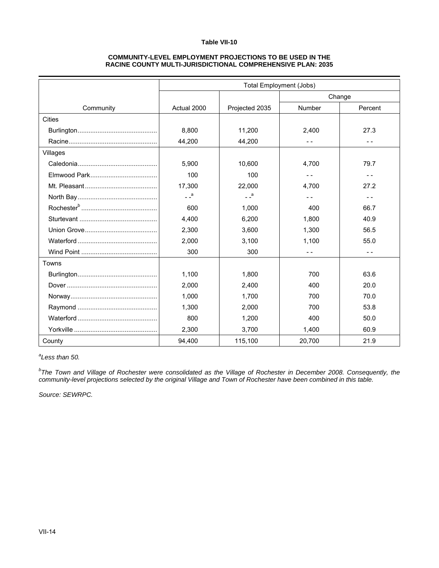#### **COMMUNITY-LEVEL EMPLOYMENT PROJECTIONS TO BE USED IN THE RACINE COUNTY MULTI-JURISDICTIONAL COMPREHENSIVE PLAN: 2035**

|               |             |                | <b>Total Employment (Jobs)</b> |         |
|---------------|-------------|----------------|--------------------------------|---------|
|               |             |                |                                | Change  |
| Community     | Actual 2000 | Projected 2035 | Number                         | Percent |
| <b>Cities</b> |             |                |                                |         |
|               | 8,800       | 11,200         | 2,400                          | 27.3    |
|               | 44,200      | 44,200         | $ -$                           | $ -$    |
| Villages      |             |                |                                |         |
|               | 5,900       | 10,600         | 4,700                          | 79.7    |
|               | 100         | 100            |                                | $ -$    |
|               | 17,300      | 22,000         | 4.700                          | 27.2    |
|               | $-$ a       | $-$ a          | $ -$                           | - -     |
|               | 600         | 1,000          | 400                            | 66.7    |
|               | 4,400       | 6,200          | 1,800                          | 40.9    |
|               | 2,300       | 3,600          | 1,300                          | 56.5    |
|               | 2,000       | 3,100          | 1,100                          | 55.0    |
|               | 300         | 300            |                                | - -     |
| Towns         |             |                |                                |         |
|               | 1.100       | 1.800          | 700                            | 63.6    |
|               | 2,000       | 2,400          | 400                            | 20.0    |
|               | 1,000       | 1,700          | 700                            | 70.0    |
|               | 1,300       | 2,000          | 700                            | 53.8    |
|               | 800         | 1,200          | 400                            | 50.0    |
|               | 2,300       | 3,700          | 1,400                          | 60.9    |
| County        | 94,400      | 115,100        | 20,700                         | 21.9    |

*a Less than 50.* 

*b The Town and Village of Rochester were consolidated as the Village of Rochester in December 2008. Consequently, the community-level projections selected by the original Village and Town of Rochester have been combined in this table.*